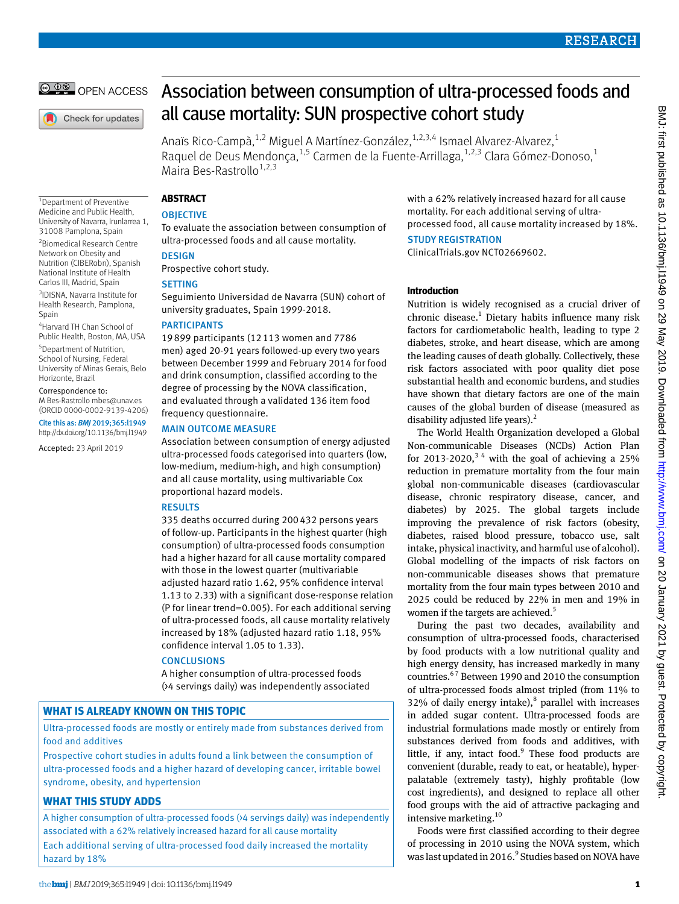

Check for updates

1 Department of Preventive Medicine and Public Health, University of Navarra, Irunlarrea 1, 31008 Pamplona, Spain 2 Biomedical Research Centre Network on Obesity and Nutrition (CIBERobn), Spanish National Institute of Health Carlos III, Madrid, Spain 3 IDISNA, Navarra Institute for Health Research, Pamplona,

4 Harvard TH Chan School of Public Health, Boston, MA, USA 5 Department of Nutrition, School of Nursing, Federal University of Minas Gerais, Belo

Horizonte, Brazil Correspondence to: M Bes-Rastrollo [mbes@unav.es](mailto:mbes@unav.es) (ORCID [0000-0002-9139-4206\)](http://orcid.org//0000-0002-9139-4206) Cite this as: *BMJ* 2019;365:l1949 http://dx.doi.org/10.1136/bmj.l1949 Accepted: 23 April 2019

Spain

# Association between consumption of ultra-processed foods and all cause mortality: SUN prospective cohort study

Anaïs Rico-Campà,<sup>1,2</sup> Miguel A Martínez-González,<sup>1,2,3,4</sup> Ismael Alvarez-Alvarez,<sup>1</sup> Raquel de Deus Mendonça,<sup>1,5</sup> Carmen de la Fuente-Arrillaga,<sup>1,2,3</sup> Clara Gómez-Donoso,<sup>1</sup> Maira Bes-Rastrollo<sup>1,2,3</sup>

## **ABSTRACT**

## **OBJECTIVE**

To evaluate the association between consumption of ultra-processed foods and all cause mortality.

# **DESIGN**

Prospective cohort study.

## **SETTING**

Seguimiento Universidad de Navarra (SUN) cohort of university graduates, Spain 1999-2018.

#### **PARTICIPANTS**

19899 participants (12113 women and 7786 men) aged 20-91 years followed-up every two years between December 1999 and February 2014 for food and drink consumption, classified according to the degree of processing by the NOVA classification, and evaluated through a validated 136 item food frequency questionnaire.

## MAIN OUTCOME MEASURE

Association between consumption of energy adjusted ultra-processed foods categorised into quarters (low, low-medium, medium-high, and high consumption) and all cause mortality, using multivariable Cox proportional hazard models.

## RESULTS

335 deaths occurred during 200432 persons years of follow-up. Participants in the highest quarter (high consumption) of ultra-processed foods consumption had a higher hazard for all cause mortality compared with those in the lowest quarter (multivariable adjusted hazard ratio 1.62, 95% confidence interval 1.13 to 2.33) with a significant dose-response relation (P for linear trend=0.005). For each additional serving of ultra-processed foods, all cause mortality relatively increased by 18% (adjusted hazard ratio 1.18, 95% confidence interval 1.05 to 1.33).

## **CONCLUSIONS**

A higher consumption of ultra-processed foods (>4 servings daily) was independently associated

# **WHAT IS ALREADY KNOWN ON THIS TOPIC**

Ultra-processed foods are mostly or entirely made from substances derived from food and additives

Prospective cohort studies in adults found a link between the consumption of ultra-processed foods and a higher hazard of developing cancer, irritable bowel syndrome, obesity, and hypertension

# **WHAT THIS STUDY ADDS**

A higher consumption of ultra-processed foods (>4 servings daily) was independently associated with a 62% relatively increased hazard for all cause mortality Each additional serving of ultra-processed food daily increased the mortality hazard by 18%

with a 62% relatively increased hazard for all cause mortality. For each additional serving of ultraprocessed food, all cause mortality increased by 18%.

#### STUDY REGISTRATION

ClinicalTrials.gov NCT02669602.

#### **Introduction**

Nutrition is widely recognised as a crucial driver of chronic disease.<sup>1</sup> Dietary habits influence many risk factors for cardiometabolic health, leading to type 2 diabetes, stroke, and heart disease, which are among the leading causes of death globally. Collectively, these risk factors associated with poor quality diet pose substantial health and economic burdens, and studies have shown that dietary factors are one of the main causes of the global burden of disease (measured as disability adjusted life years). $<sup>2</sup>$ </sup>

The World Health Organization developed a Global Non-communicable Diseases (NCDs) Action Plan for 2013-2020,<sup>34</sup> with the goal of achieving a 25% reduction in premature mortality from the four main global non-communicable diseases (cardiovascular disease, chronic respiratory disease, cancer, and diabetes) by 2025. The global targets include improving the prevalence of risk factors (obesity, diabetes, raised blood pressure, tobacco use, salt intake, physical inactivity, and harmful use of alcohol). Global modelling of the impacts of risk factors on non-communicable diseases shows that premature mortality from the four main types between 2010 and 2025 could be reduced by 22% in men and 19% in women if the targets are achieved.<sup>5</sup>

During the past two decades, availability and consumption of ultra-processed foods, characterised by food products with a low nutritional quality and high energy density, has increased markedly in many countries.6 7 Between 1990 and 2010 the consumption of ultra-processed foods almost tripled (from 11% to  $32\%$  of daily energy intake), $^8$  parallel with increases in added sugar content. Ultra-processed foods are industrial formulations made mostly or entirely from substances derived from foods and additives, with little, if any, intact food. $9$  These food products are convenient (durable, ready to eat, or heatable), hyperpalatable (extremely tasty), highly profitable (low cost ingredients), and designed to replace all other food groups with the aid of attractive packaging and intensive marketing.<sup>10</sup>

Foods were first classified according to their degree of processing in 2010 using the NOVA system, which was last updated in 2016.<sup>9</sup> Studies based on NOVA have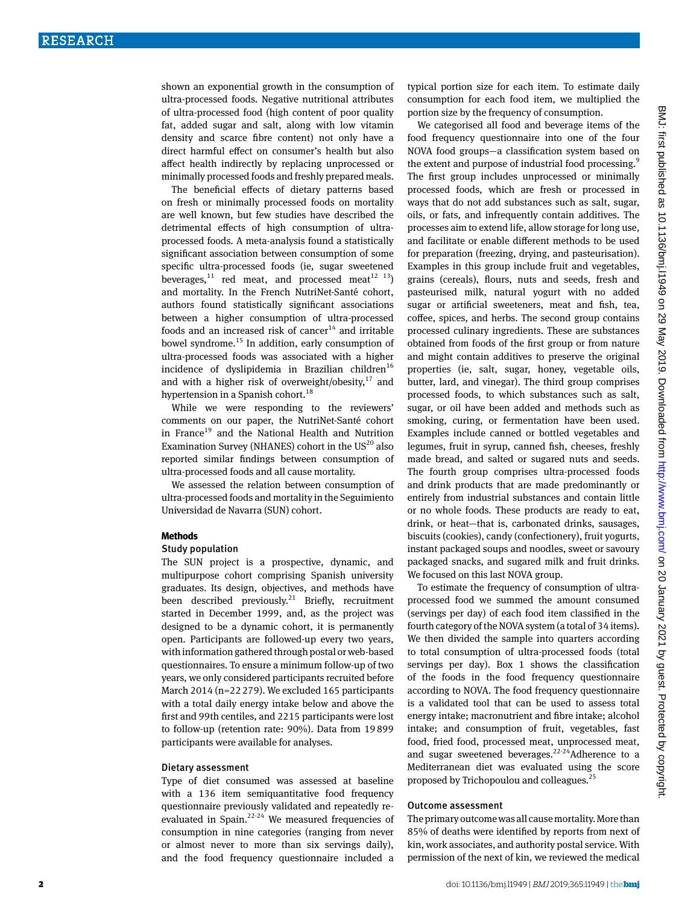shown an exponential growth in the consumption of ultra-processed foods. Negative nutritional attributes of ultra-processed food (high content of poor quality fat, added sugar and salt, along with low vitamin density and scarce fibre content) not only have a direct harmful effect on consumer's health but also affect health indirectly by replacing unprocessed or minimally processed foods and freshly prepared meals.

The beneficial effects of dietary patterns based on fresh or minimally processed foods on mortality are well known, but few studies have described the detrimental effects of high consumption of ultraprocessed foods. A meta-analysis found a statistically significant association between consumption of some specific ultra-processed foods (ie, sugar sweetened beverages,<sup>11</sup> red meat, and processed meat<sup>12</sup> <sup>13</sup>) and mortality. In the French NutriNet-Santé cohort, authors found statistically significant associations between a higher consumption of ultra-processed foods and an increased risk of cancer<sup>14</sup> and irritable bowel syndrome.<sup>15</sup> In addition, early consumption of ultra-processed foods was associated with a higher incidence of dyslipidemia in Brazilian children<sup>16</sup> and with a higher risk of overweight/obesity, $17$  and hypertension in a Spanish cohort.<sup>18</sup>

While we were responding to the reviewers' comments on our paper, the NutriNet-Santé cohort in France<sup>19</sup> and the National Health and Nutrition Examination Survey (NHANES) cohort in the  $US^{20}$  also reported similar findings between consumption of ultra-processed foods and all cause mortality.

We assessed the relation between consumption of ultra-processed foods and mortality in the Seguimiento Universidad de Navarra (SUN) cohort.

#### **Methods**

#### Study population

The SUN project is a prospective, dynamic, and multipurpose cohort comprising Spanish university graduates. Its design, objectives, and methods have been described previously.<sup>21</sup> Briefly, recruitment started in December 1999, and, as the project was designed to be a dynamic cohort, it is permanently open. Participants are followed-up every two years, with information gathered through postal or web-based questionnaires. To ensure a minimum follow-up of two years, we only considered participants recruited before March 2014 (n=22279). We excluded 165 participants with a total daily energy intake below and above the first and 99th centiles, and 2215 participants were lost to follow-up (retention rate: 90%). Data from 19899 participants were available for analyses.

#### Dietary assessment

Type of diet consumed was assessed at baseline with a 136 item semiquantitative food frequency questionnaire previously validated and repeatedly reevaluated in Spain. $2^{2-24}$  We measured frequencies of consumption in nine categories (ranging from never or almost never to more than six servings daily), and the food frequency questionnaire included a typical portion size for each item. To estimate daily consumption for each food item, we multiplied the portion size by the frequency of consumption.

We categorised all food and beverage items of the food frequency questionnaire into one of the four NOVA food groups—a classification system based on the extent and purpose of industrial food processing.<sup>9</sup> The first group includes unprocessed or minimally processed foods, which are fresh or processed in ways that do not add substances such as salt, sugar, oils, or fats, and infrequently contain additives. The processes aim to extend life, allow storage for long use, and facilitate or enable different methods to be used for preparation (freezing, drying, and pasteurisation). Examples in this group include fruit and vegetables, grains (cereals), flours, nuts and seeds, fresh and pasteurised milk, natural yogurt with no added sugar or artificial sweeteners, meat and fish, tea, coffee, spices, and herbs. The second group contains processed culinary ingredients. These are substances obtained from foods of the first group or from nature and might contain additives to preserve the original properties (ie, salt, sugar, honey, vegetable oils, butter, lard, and vinegar). The third group comprises processed foods, to which substances such as salt, sugar, or oil have been added and methods such as smoking, curing, or fermentation have been used. Examples include canned or bottled vegetables and legumes, fruit in syrup, canned fish, cheeses, freshly made bread, and salted or sugared nuts and seeds. The fourth group comprises ultra-processed foods and drink products that are made predominantly or entirely from industrial substances and contain little or no whole foods. These products are ready to eat, drink, or heat—that is, carbonated drinks, sausages, biscuits (cookies), candy (confectionery), fruit yogurts, instant packaged soups and noodles, sweet or savoury packaged snacks, and sugared milk and fruit drinks. We focused on this last NOVA group.

To estimate the frequency of consumption of ultraprocessed food we summed the amount consumed (servings per day) of each food item classified in the fourth category of the NOVA system (a total of 34 items). We then divided the sample into quarters according to total consumption of ultra-processed foods (total servings per day). Box 1 shows the classification of the foods in the food frequency questionnaire according to NOVA. The food frequency questionnaire is a validated tool that can be used to assess total energy intake; macronutrient and fibre intake; alcohol intake; and consumption of fruit, vegetables, fast food, fried food, processed meat, unprocessed meat, and sugar sweetened beverages.<sup>22-24</sup>Adherence to a Mediterranean diet was evaluated using the score proposed by Trichopoulou and colleagues.25

## Outcome assessment

The primary outcome was all cause mortality. More than 85% of deaths were identified by reports from next of kin, work associates, and authority postal service. With permission of the next of kin, we reviewed the medical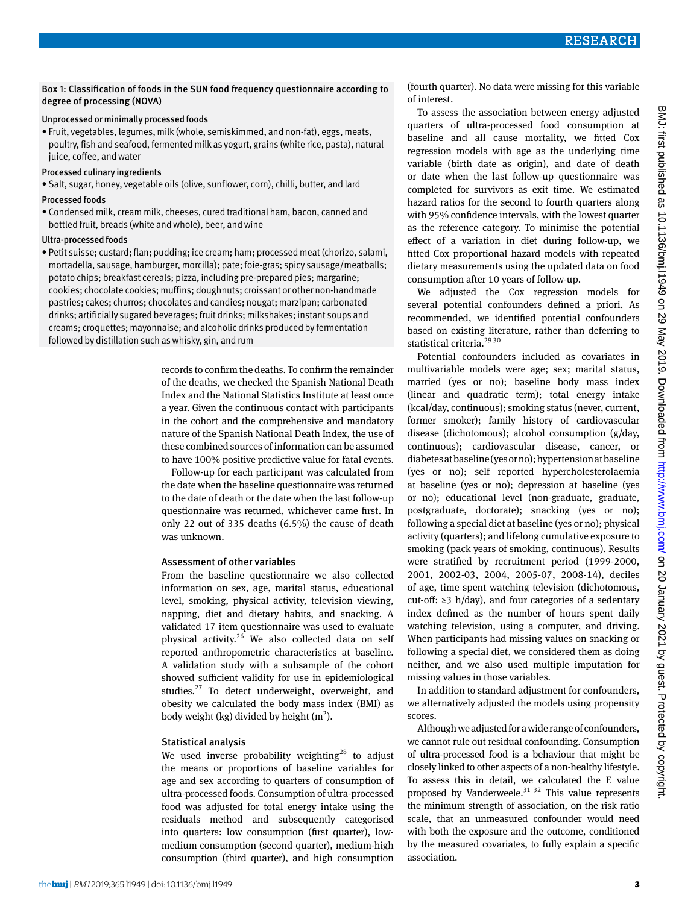# Box 1: Classification of foods in the SUN food frequency questionnaire according to degree of processing (NOVA)

# Unprocessed or minimally processed foods

• Fruit, vegetables, legumes, milk (whole, semiskimmed, and non-fat), eggs, meats, poultry, fish and seafood, fermented milk as yogurt, grains (white rice, pasta), natural juice, coffee, and water

## Processed culinary ingredients

• Salt, sugar, honey, vegetable oils (olive, sunflower, corn), chilli, butter, and lard

# Processed foods

• Condensed milk, cream milk, cheeses, cured traditional ham, bacon, canned and bottled fruit, breads (white and whole), beer, and wine

# Ultra-processed foods

• Petit suisse; custard; flan; pudding; ice cream; ham; processed meat (chorizo, salami, mortadella, sausage, hamburger, morcilla); pate; foie-gras; spicy sausage/meatballs; potato chips; breakfast cereals; pizza, including pre-prepared pies; margarine; cookies; chocolate cookies; muffins; doughnuts; croissant or other non-handmade pastries; cakes; churros; chocolates and candies; nougat; marzipan; carbonated drinks; artificially sugared beverages; fruit drinks; milkshakes; instant soups and creams; croquettes; mayonnaise; and alcoholic drinks produced by fermentation followed by distillation such as whisky, gin, and rum

> records to confirm the deaths. To confirm the remainder of the deaths, we checked the Spanish National Death Index and the National Statistics Institute at least once a year. Given the continuous contact with participants in the cohort and the comprehensive and mandatory nature of the Spanish National Death Index, the use of these combined sources of information can be assumed to have 100% positive predictive value for fatal events.

> Follow-up for each participant was calculated from the date when the baseline questionnaire was returned to the date of death or the date when the last follow-up questionnaire was returned, whichever came first. In only 22 out of 335 deaths (6.5%) the cause of death was unknown.

# Assessment of other variables

From the baseline questionnaire we also collected information on sex, age, marital status, educational level, smoking, physical activity, television viewing, napping, diet and dietary habits, and snacking. A validated 17 item questionnaire was used to evaluate physical activity.<sup>26</sup> We also collected data on self reported anthropometric characteristics at baseline. A validation study with a subsample of the cohort showed sufficient validity for use in epidemiological studies.<sup>27</sup> To detect underweight, overweight, and obesity we calculated the body mass index (BMI) as body weight (kg) divided by height  $(m^2)$ .

# Statistical analysis

We used inverse probability weighting<sup>28</sup> to adjust the means or proportions of baseline variables for age and sex according to quarters of consumption of ultra-processed foods. Consumption of ultra-processed food was adjusted for total energy intake using the residuals method and subsequently categorised into quarters: low consumption (first quarter), lowmedium consumption (second quarter), medium-high consumption (third quarter), and high consumption

(fourth quarter). No data were missing for this variable of interest.

To assess the association between energy adjusted quarters of ultra-processed food consumption at baseline and all cause mortality, we fitted Cox regression models with age as the underlying time variable (birth date as origin), and date of death or date when the last follow-up questionnaire was completed for survivors as exit time. We estimated hazard ratios for the second to fourth quarters along with 95% confidence intervals, with the lowest quarter as the reference category. To minimise the potential effect of a variation in diet during follow-up, we fitted Cox proportional hazard models with repeated dietary measurements using the updated data on food consumption after 10 years of follow-up.

We adjusted the Cox regression models for several potential confounders defined a priori. As recommended, we identified potential confounders based on existing literature, rather than deferring to statistical criteria.<sup>29 30</sup>

Potential confounders included as covariates in multivariable models were age; sex; marital status, married (yes or no); baseline body mass index (linear and quadratic term); total energy intake (kcal/day, continuous); smoking status (never, current, former smoker); family history of cardiovascular disease (dichotomous); alcohol consumption (g/day, continuous); cardiovascular disease, cancer, or diabetes at baseline (yes or no); hypertension at baseline (yes or no); self reported hypercholesterolaemia at baseline (yes or no); depression at baseline (yes or no); educational level (non-graduate, graduate, postgraduate, doctorate); snacking (yes or no); following a special diet at baseline (yes or no); physical activity (quarters); and lifelong cumulative exposure to smoking (pack years of smoking, continuous). Results were stratified by recruitment period (1999-2000, 2001, 2002-03, 2004, 2005-07, 2008-14), deciles of age, time spent watching television (dichotomous, cut-off:  $\geq$ 3 h/day), and four categories of a sedentary index defined as the number of hours spent daily watching television, using a computer, and driving. When participants had missing values on snacking or following a special diet, we considered them as doing neither, and we also used multiple imputation for missing values in those variables.

In addition to standard adjustment for confounders, we alternatively adjusted the models using propensity scores.

Although we adjusted for a wide range of confounders, we cannot rule out residual confounding. Consumption of ultra-processed food is a behaviour that might be closely linked to other aspects of a non-healthy lifestyle. To assess this in detail, we calculated the E value proposed by Vanderweele. $31 \frac{32}{1}$  This value represents the minimum strength of association, on the risk ratio scale, that an unmeasured confounder would need with both the exposure and the outcome, conditioned by the measured covariates, to fully explain a specific association.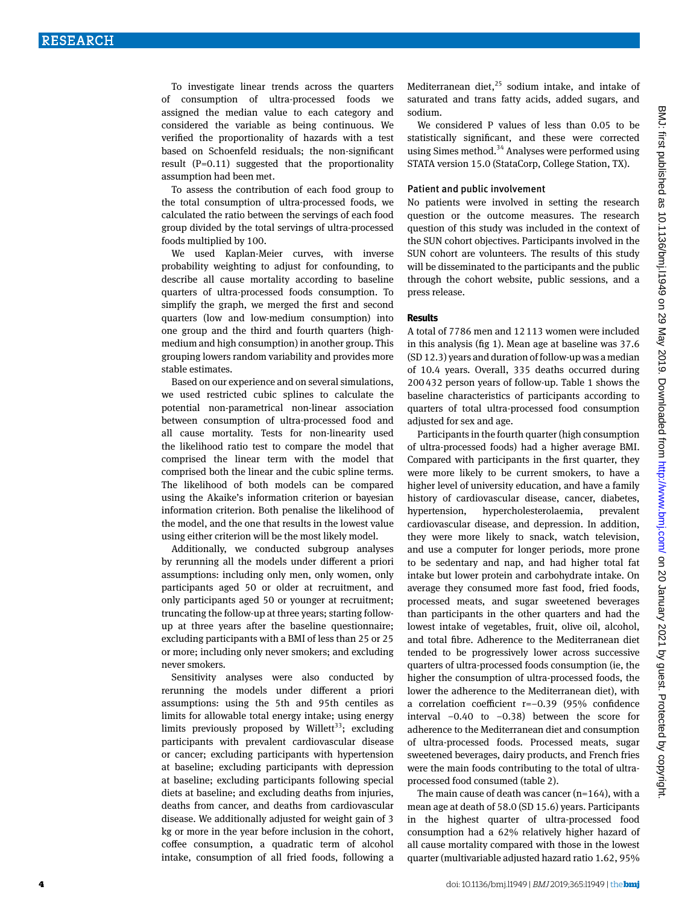To investigate linear trends across the quarters of consumption of ultra-processed foods we assigned the median value to each category and considered the variable as being continuous. We verified the proportionality of hazards with a test based on Schoenfeld residuals; the non-significant result (P=0.11) suggested that the proportionality assumption had been met.

To assess the contribution of each food group to the total consumption of ultra-processed foods, we calculated the ratio between the servings of each food group divided by the total servings of ultra-processed foods multiplied by 100.

We used Kaplan-Meier curves, with inverse probability weighting to adjust for confounding, to describe all cause mortality according to baseline quarters of ultra-processed foods consumption. To simplify the graph, we merged the first and second quarters (low and low-medium consumption) into one group and the third and fourth quarters (highmedium and high consumption) in another group. This grouping lowers random variability and provides more stable estimates.

Based on our experience and on several simulations, we used restricted cubic splines to calculate the potential non-parametrical non-linear association between consumption of ultra-processed food and all cause mortality. Tests for non-linearity used the likelihood ratio test to compare the model that comprised the linear term with the model that comprised both the linear and the cubic spline terms. The likelihood of both models can be compared using the Akaike's information criterion or bayesian information criterion. Both penalise the likelihood of the model, and the one that results in the lowest value using either criterion will be the most likely model.

Additionally, we conducted subgroup analyses by rerunning all the models under different a priori assumptions: including only men, only women, only participants aged 50 or older at recruitment, and only participants aged 50 or younger at recruitment; truncating the follow-up at three years; starting followup at three years after the baseline questionnaire; excluding participants with a BMI of less than 25 or 25 or more; including only never smokers; and excluding never smokers.

Sensitivity analyses were also conducted by rerunning the models under different a priori assumptions: using the 5th and 95th centiles as limits for allowable total energy intake; using energy limits previously proposed by Willett<sup>33</sup>; excluding participants with prevalent cardiovascular disease or cancer; excluding participants with hypertension at baseline; excluding participants with depression at baseline; excluding participants following special diets at baseline; and excluding deaths from injuries, deaths from cancer, and deaths from cardiovascular disease. We additionally adjusted for weight gain of 3 kg or more in the year before inclusion in the cohort, coffee consumption, a quadratic term of alcohol intake, consumption of all fried foods, following a Mediterranean diet, $^{25}$  sodium intake, and intake of saturated and trans fatty acids, added sugars, and sodium.

We considered P values of less than 0.05 to be statistically significant, and these were corrected using Simes method.<sup>34</sup> Analyses were performed using STATA version 15.0 (StataCorp, College Station, TX).

#### Patient and public involvement

No patients were involved in setting the research question or the outcome measures. The research question of this study was included in the context of the SUN cohort objectives. Participants involved in the SUN cohort are volunteers. The results of this study will be disseminated to the participants and the public through the cohort website, public sessions, and a press release.

#### **Results**

A total of 7786 men and 12113 women were included in this analysis (fig 1). Mean age at baseline was 37.6 (SD 12.3) years and duration of follow-up was a median of 10.4 years. Overall, 335 deaths occurred during 200432 person years of follow-up. Table 1 shows the baseline characteristics of participants according to quarters of total ultra-processed food consumption adjusted for sex and age.

Participants in the fourth quarter (high consumption of ultra-processed foods) had a higher average BMI. Compared with participants in the first quarter, they were more likely to be current smokers, to have a higher level of university education, and have a family history of cardiovascular disease, cancer, diabetes, hypertension, hypercholesterolaemia, prevalent cardiovascular disease, and depression. In addition, they were more likely to snack, watch television, and use a computer for longer periods, more prone to be sedentary and nap, and had higher total fat intake but lower protein and carbohydrate intake. On average they consumed more fast food, fried foods, processed meats, and sugar sweetened beverages than participants in the other quarters and had the lowest intake of vegetables, fruit, olive oil, alcohol, and total fibre. Adherence to the Mediterranean diet tended to be progressively lower across successive quarters of ultra-processed foods consumption (ie, the higher the consumption of ultra-processed foods, the lower the adherence to the Mediterranean diet), with a correlation coefficient r=−0.39 (95% confidence interval −0.40 to −0.38) between the score for adherence to the Mediterranean diet and consumption of ultra-processed foods. Processed meats, sugar sweetened beverages, dairy products, and French fries were the main foods contributing to the total of ultraprocessed food consumed (table 2).

The main cause of death was cancer  $(n=164)$ , with a mean age at death of 58.0 (SD 15.6) years. Participants in the highest quarter of ultra-processed food consumption had a 62% relatively higher hazard of all cause mortality compared with those in the lowest quarter (multivariable adjusted hazard ratio 1.62, 95%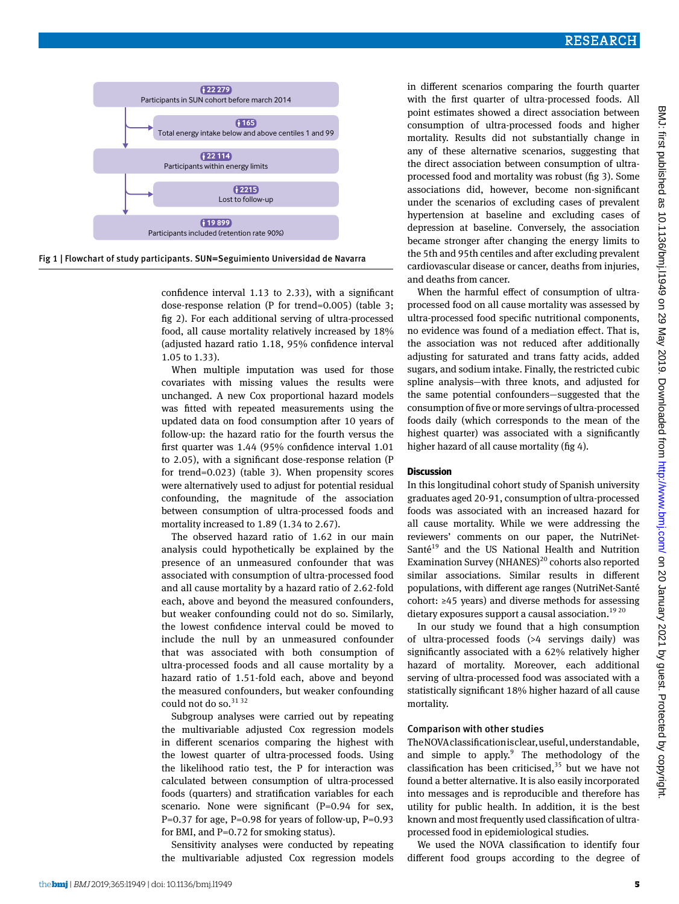



confidence interval 1.13 to 2.33), with a significant dose-response relation (P for trend=0.005) (table 3; fig 2). For each additional serving of ultra-processed food, all cause mortality relatively increased by 18% (adjusted hazard ratio 1.18, 95% confidence interval 1.05 to 1.33).

When multiple imputation was used for those covariates with missing values the results were unchanged. A new Cox proportional hazard models was fitted with repeated measurements using the updated data on food consumption after 10 years of follow-up: the hazard ratio for the fourth versus the first quarter was 1.44 (95% confidence interval 1.01 to 2.05), with a significant dose-response relation (P for trend=0.023) (table 3). When propensity scores were alternatively used to adjust for potential residual confounding, the magnitude of the association between consumption of ultra-processed foods and mortality increased to 1.89 (1.34 to 2.67).

The observed hazard ratio of 1.62 in our main analysis could hypothetically be explained by the presence of an unmeasured confounder that was associated with consumption of ultra-processed food and all cause mortality by a hazard ratio of 2.62-fold each, above and beyond the measured confounders, but weaker confounding could not do so. Similarly, the lowest confidence interval could be moved to include the null by an unmeasured confounder that was associated with both consumption of ultra-processed foods and all cause mortality by a hazard ratio of 1.51-fold each, above and beyond the measured confounders, but weaker confounding could not do so.<sup>31 32</sup>

Subgroup analyses were carried out by repeating the multivariable adjusted Cox regression models in different scenarios comparing the highest with the lowest quarter of ultra-processed foods. Using the likelihood ratio test, the P for interaction was calculated between consumption of ultra-processed foods (quarters) and stratification variables for each scenario. None were significant (P=0.94 for sex, P=0.37 for age, P=0.98 for years of follow-up, P=0.93 for BMI, and P=0.72 for smoking status).

Sensitivity analyses were conducted by repeating the multivariable adjusted Cox regression models

in different scenarios comparing the fourth quarter with the first quarter of ultra-processed foods. All point estimates showed a direct association between consumption of ultra-processed foods and higher mortality. Results did not substantially change in any of these alternative scenarios, suggesting that the direct association between consumption of ultraprocessed food and mortality was robust (fig 3). Some associations did, however, become non-significant under the scenarios of excluding cases of prevalent hypertension at baseline and excluding cases of depression at baseline. Conversely, the association became stronger after changing the energy limits to the 5th and 95th centiles and after excluding prevalent cardiovascular disease or cancer, deaths from injuries, and deaths from cancer.

When the harmful effect of consumption of ultraprocessed food on all cause mortality was assessed by ultra-processed food specific nutritional components, no evidence was found of a mediation effect. That is, the association was not reduced after additionally adjusting for saturated and trans fatty acids, added sugars, and sodium intake. Finally, the restricted cubic spline analysis—with three knots, and adjusted for the same potential confounders—suggested that the consumption of five or more servings of ultra-processed foods daily (which corresponds to the mean of the highest quarter) was associated with a significantly higher hazard of all cause mortality (fig 4).

#### **Discussion**

In this longitudinal cohort study of Spanish university graduates aged 20-91, consumption of ultra-processed foods was associated with an increased hazard for all cause mortality. While we were addressing the reviewers' comments on our paper, the NutriNet-Santé<sup>19</sup> and the US National Health and Nutrition Examination Survey (NHANES) $^{20}$  cohorts also reported similar associations. Similar results in different populations, with different age ranges (NutriNet-Santé cohort: ≥45 years) and diverse methods for assessing dietary exposures support a causal association.<sup>1920</sup>

In our study we found that a high consumption of ultra-processed foods (>4 servings daily) was significantly associated with a 62% relatively higher hazard of mortality. Moreover, each additional serving of ultra-processed food was associated with a statistically significant 18% higher hazard of all cause mortality.

#### Comparison with other studies

The NOVA classification is clear, useful, understandable, and simple to  $apply.^9$  The methodology of the classification has been criticised, $35$  but we have not found a better alternative. It is also easily incorporated into messages and is reproducible and therefore has utility for public health. In addition, it is the best known and most frequently used classification of ultraprocessed food in epidemiological studies.

We used the NOVA classification to identify four different food groups according to the degree of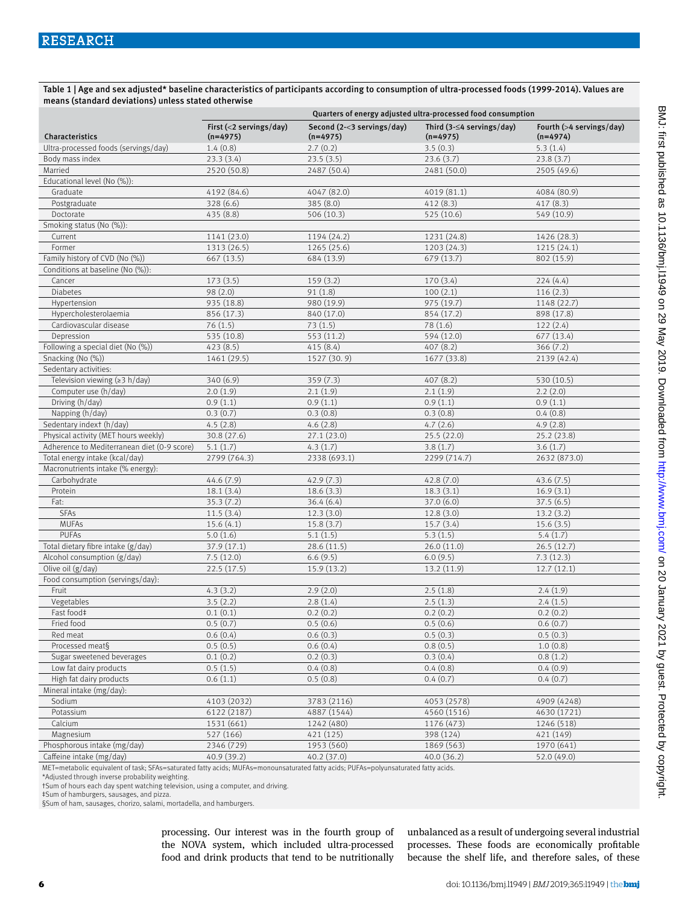Table 1 | Age and sex adjusted\* baseline characteristics of participants according to consumption of ultra-processed foods (1999-2014). Values are means (standard deviations) unless stated otherwise

|                                             | Quarters of energy adjusted ultra-processed food consumption |                                          |                                               |                                        |  |
|---------------------------------------------|--------------------------------------------------------------|------------------------------------------|-----------------------------------------------|----------------------------------------|--|
| Characteristics                             | First $(<$ 2 servings/day)<br>$(n=4975)$                     | Second (2-<3 servings/day)<br>$(n=4975)$ | Third $(3-\leq 4$ servings/day)<br>$(n=4975)$ | Fourth (>4 servings/day)<br>$(n=4974)$ |  |
| Ultra-processed foods (servings/day)        | 1.4(0.8)                                                     | 2.7(0.2)                                 | 3.5(0.3)                                      | 5.3(1.4)                               |  |
| Body mass index                             | 23.3(3.4)                                                    | 23.5(3.5)                                | 23.6(3.7)                                     | 23.8(3.7)                              |  |
| Married                                     | 2520 (50.8)                                                  | 2487 (50.4)                              | 2481 (50.0)                                   | 2505 (49.6)                            |  |
| Educational level (No (%)):                 |                                                              |                                          |                                               |                                        |  |
| Graduate                                    | 4192 (84.6)                                                  | 4047 (82.0)                              | 4019 (81.1)                                   | 4084 (80.9)                            |  |
| Postgraduate                                | 328 (6.6)                                                    | 385 (8.0)                                | 412(8.3)                                      | 417 (8.3)                              |  |
| Doctorate                                   | 435 (8.8)                                                    | 506 (10.3)                               | 525 (10.6)                                    | 549 (10.9)                             |  |
| Smoking status (No (%)):                    |                                                              |                                          |                                               |                                        |  |
| Current                                     | 1141 (23.0)                                                  | 1194 (24.2)                              | 1231 (24.8)                                   | 1426 (28.3)                            |  |
| Former                                      | 1313 (26.5)                                                  | 1265 (25.6)                              | 1203(24.3)                                    | 1215(24.1)                             |  |
| Family history of CVD (No (%))              | 667 (13.5)                                                   | 684 (13.9)                               | 679 (13.7)                                    | 802 (15.9)                             |  |
| Conditions at baseline (No (%)):            |                                                              |                                          |                                               |                                        |  |
| Cancer                                      | 173(3.5)                                                     | 159(3.2)                                 | 170 (3.4)                                     | 224(4.4)                               |  |
| <b>Diabetes</b>                             | 98 (2.0)                                                     | 91(1.8)                                  | 100(2.1)                                      | 116(2.3)                               |  |
| Hypertension                                | 935 (18.8)                                                   | 980 (19.9)                               | 975 (19.7)                                    | 1148 (22.7)                            |  |
| Hypercholesterolaemia                       | 856 (17.3)                                                   | 840 (17.0)                               | 854 (17.2)                                    | 898 (17.8)                             |  |
| Cardiovascular disease                      | 76(1.5)                                                      | 73(1.5)                                  | 78(1.6)                                       | 122(2.4)                               |  |
| Depression                                  | 535 (10.8)                                                   | 553 (11.2)                               | 594 (12.0)                                    | 677 (13.4)                             |  |
| Following a special diet (No (%))           | 423 (8.5)                                                    | 415(8.4)                                 | 407(8.2)                                      | 366(7.2)                               |  |
| Snacking (No (%))                           | 1461 (29.5)                                                  | 1527 (30.9)                              | 1677 (33.8)                                   | 2139 (42.4)                            |  |
| Sedentary activities:                       |                                                              |                                          |                                               |                                        |  |
| Television viewing (≥3 h/day)               | 340 (6.9)                                                    | 359 (7.3)                                | 407 (8.2)                                     | 530 (10.5)                             |  |
| Computer use (h/day)                        | 2.0(1.9)                                                     | 2.1(1.9)                                 | 2.1(1.9)                                      | 2.2(2.0)                               |  |
| Driving (h/day)                             | 0.9(1.1)                                                     | 0.9(1.1)                                 | 0.9(1.1)                                      | 0.9(1.1)                               |  |
| Napping (h/day)                             | 0.3(0.7)                                                     | 0.3(0.8)                                 | 0.3(0.8)                                      | 0.4(0.8)                               |  |
| Sedentary indext (h/day)                    | 4.5(2.8)                                                     | 4.6(2.8)                                 | 4.7(2.6)                                      | 4.9(2.8)                               |  |
| Physical activity (MET hours weekly)        | 30.8 (27.6)                                                  | 27.1(23.0)                               | 25.5(22.0)                                    | 25.2(23.8)                             |  |
| Adherence to Mediterranean diet (0-9 score) | 5.1(1.7)                                                     | 4.3(1.7)                                 | 3.8(1.7)                                      | 3.6(1.7)                               |  |
| Total energy intake (kcal/day)              | 2799 (764.3)                                                 | 2338 (693.1)                             | 2299 (714.7)                                  | 2632 (873.0)                           |  |
| Macronutrients intake (% energy):           |                                                              |                                          |                                               |                                        |  |
| Carbohydrate                                | 44.6 (7.9)                                                   | 42.9(7.3)                                | 42.8(7.0)                                     | 43.6(7.5)                              |  |
| Protein                                     | 18.1(3.4)                                                    | 18.6(3.3)                                | 18.3(3.1)                                     | 16.9(3.1)                              |  |
| Fat:                                        | 35.3(7.2)                                                    | 36.4(6.4)                                | $\overline{37.0}$ (6.0)                       | 37.5(6.5)                              |  |
| <b>SFAs</b>                                 | 11.5(3.4)                                                    | 12.3(3.0)                                | 12.8(3.0)                                     | 13.2(3.2)                              |  |
| <b>MUFAs</b>                                | 15.6(4.1)                                                    | 15.8(3.7)                                | 15.7(3.4)                                     | 15.6(3.5)                              |  |
| <b>PUFAs</b>                                | 5.0(1.6)                                                     | 5.1(1.5)                                 | 5.3(1.5)                                      | 5.4(1.7)                               |  |
| Total dietary fibre intake (g/day)          | 37.9 (17.1)                                                  | 28.6 (11.5)                              | 26.0(11.0)                                    | 26.5(12.7)                             |  |
| Alcohol consumption (g/day)                 | 7.5(12.0)                                                    | 6.6(9.5)                                 | 6.0(9.5)                                      | 7.3(12.3)                              |  |
| Olive oil (g/day)                           | 22.5(17.5)                                                   | 15.9 (13.2)                              | 13.2 (11.9)                                   | 12.7(12.1)                             |  |
| Food consumption (servings/day):            |                                                              |                                          |                                               |                                        |  |
| Fruit                                       | 4.3(3.2)                                                     | 2.9(2.0)                                 | 2.5(1.8)                                      | 2.4(1.9)                               |  |
| Vegetables                                  | 3.5(2.2)                                                     | 2.8(1.4)                                 | 2.5(1.3)                                      | 2.4(1.5)                               |  |
| Fast food#                                  | 0.1(0.1)                                                     | 0.2(0.2)                                 | 0.2(0.2)                                      | 0.2(0.2)                               |  |
| Fried food                                  | 0.5(0.7)                                                     | 0.5(0.6)                                 | 0.5(0.6)                                      | 0.6(0.7)                               |  |
| Red meat                                    | 0.6(0.4)                                                     | 0.6(0.3)                                 | 0.5(0.3)                                      | 0.5(0.3)                               |  |
| Processed meat§                             | 0.5(0.5)                                                     | 0.6(0.4)                                 | 0.8(0.5)                                      | 1.0(0.8)                               |  |
| Sugar sweetened beverages                   | 0.1(0.2)                                                     | 0.2(0.3)                                 | 0.3(0.4)                                      | 0.8(1.2)                               |  |
| Low fat dairy products                      | 0.5(1.5)                                                     | 0.4(0.8)                                 | 0.4(0.8)                                      | 0.4(0.9)                               |  |
| High fat dairy products                     | 0.6(1.1)                                                     | 0.5(0.8)                                 | 0.4(0.7)                                      | 0.4(0.7)                               |  |
| Mineral intake (mg/day):                    |                                                              |                                          |                                               |                                        |  |
| Sodium                                      | 4103 (2032)                                                  | 3783 (2116)                              | 4053 (2578)                                   | 4909 (4248)                            |  |
| Potassium                                   | 6122 (2187)                                                  | 4887 (1544)                              | 4560 (1516)                                   | 4630 (1721)                            |  |
| Calcium                                     | 1531 (661)                                                   | 1242 (480)                               | 1176 (473)                                    | 1246 (518)                             |  |
| Magnesium                                   | 527 (166)                                                    | 421 (125)                                | 398 (124)                                     | 421 (149)                              |  |
| Phosphorous intake (mg/day)                 | 2346 (729)                                                   | 1953 (560)                               | 1869 (563)                                    | 1970 (641)                             |  |
| Caffeine intake (mg/day)                    | 40.9 (39.2)                                                  | 40.2 (37.0)                              | 40.0(36.2)                                    | 52.0 (49.0)                            |  |

MET=metabolic equivalent of task; SFAs=saturated fatty acids; MUFAs=monounsaturated fatty acids; PUFAs=polyunsaturated fatty acids.

\*Adjusted through inverse probability weighting.

†Sum of hours each day spent watching television, using a computer, and driving.

‡Sum of hamburgers, sausages, and pizza.

§Sum of ham, sausages, chorizo, salami, mortadella, and hamburgers.

processing. Our interest was in the fourth group of the NOVA system, which included ultra-processed food and drink products that tend to be nutritionally

unbalanced as a result of undergoing several industrial processes. These foods are economically profitable because the shelf life, and therefore sales, of these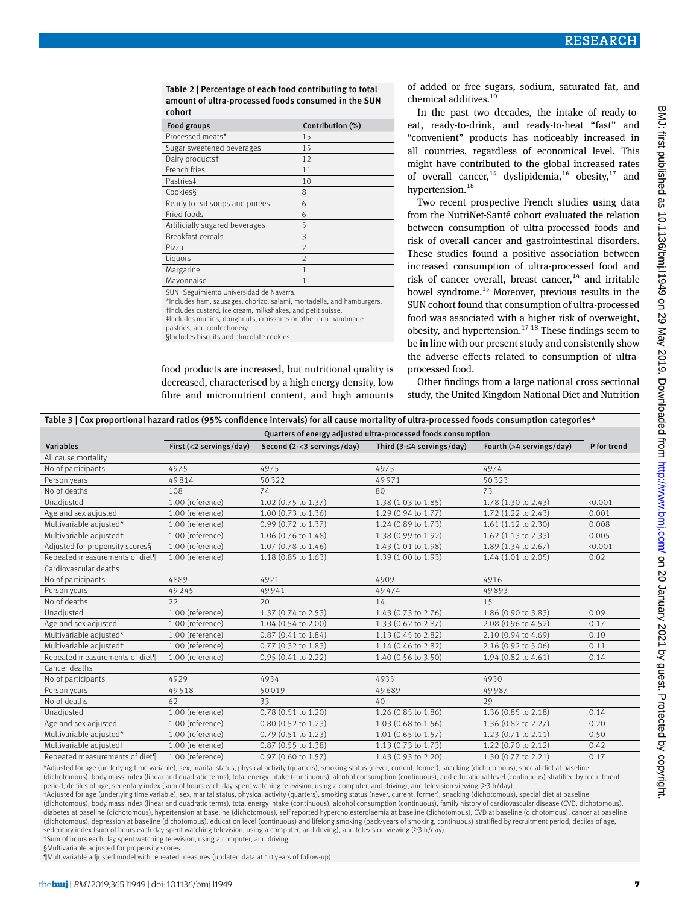Table 2 | Percentage of each food contributing to total amount of ultra-processed foods consumed in the SUN cohort

| Food groups                    | Contribution (%) |
|--------------------------------|------------------|
| Processed meats*               | 15               |
| Sugar sweetened beverages      | 15               |
| Dairy productst                | 12               |
| French fries                   | 11               |
| Pastries‡                      | 10               |
| Cookies§                       | 8                |
| Ready to eat soups and purées  | 6                |
| Fried foods                    | 6                |
| Artificially sugared beverages | 5                |
| <b>Breakfast cereals</b>       | 3                |
| Pizza                          | $\overline{2}$   |
| Liquors                        | $\overline{2}$   |
| Margarine                      | 1                |
| Mayonnaise                     | 1                |
|                                |                  |

SUN=Seguimiento Universidad de Navarra.

\*Includes ham, sausages, chorizo, salami, mortadella, and hamburgers.

†Includes custard, ice cream, milkshakes, and petit suisse. ‡Includes muffins, doughnuts, croissants or other non-handmade

pastries, and confectionery.

food products are increased, but nutritional quality is decreased, characterised by a high energy density, low fibre and micronutrient content, and high amounts of added or free sugars, sodium, saturated fat, and chemical additives.<sup>10</sup>

In the past two decades, the intake of ready-toeat, ready-to-drink, and ready-to-heat "fast" and "convenient" products has noticeably increased in all countries, regardless of economical level. This might have contributed to the global increased rates of overall cancer,<sup>14</sup> dyslipidemia,<sup>16</sup> obesity,<sup>17</sup> and hypertension.<sup>18</sup>

Two recent prospective French studies using data from the NutriNet-Santé cohort evaluated the relation between consumption of ultra-processed foods and risk of overall cancer and gastrointestinal disorders. These studies found a positive association between increased consumption of ultra-processed food and risk of cancer overall, breast cancer, $14$  and irritable bowel syndrome.15 Moreover, previous results in the SUN cohort found that consumption of ultra-processed food was associated with a higher risk of overweight, obesity, and hypertension.<sup>17 18</sup> These findings seem to be in line with our present study and consistently show the adverse effects related to consumption of ultraprocessed food.

Other findings from a large national cross sectional study, the United Kingdom National Diet and Nutrition

| Table 3   Cox proportional hazard ratios (95% confidence intervals) for all cause mortality of ultra-processed foods consumption categories* |  |
|----------------------------------------------------------------------------------------------------------------------------------------------|--|
|----------------------------------------------------------------------------------------------------------------------------------------------|--|

|                                 | Quarters of energy adjusted ultra-processed foods consumption |                            |                                 |                          |             |  |
|---------------------------------|---------------------------------------------------------------|----------------------------|---------------------------------|--------------------------|-------------|--|
| <b>Variables</b>                | First $(<$ 2 servings/day)                                    | Second (2-<3 servings/day) | Third $(3-\leq 4$ servings/day) | Fourth (>4 servings/day) | P for trend |  |
| All cause mortality             |                                                               |                            |                                 |                          |             |  |
| No of participants              | 4975                                                          | 4975                       | 4975                            | 4974                     |             |  |
| Person years                    | 49814                                                         | 50322                      | 49971                           | 50323                    |             |  |
| No of deaths                    | 108                                                           | 74                         | 80                              | 73                       |             |  |
| Unadjusted                      | 1.00 (reference)                                              | 1.02 (0.75 to 1.37)        | 1.38 (1.03 to 1.85)             | 1.78 (1.30 to 2.43)      | 0.001       |  |
| Age and sex adjusted            | 1.00 (reference)                                              | 1.00 (0.73 to 1.36)        | 1.29 (0.94 to 1.77)             | 1.72 (1.22 to 2.43)      | 0.001       |  |
| Multivariable adjusted*         | 1.00 (reference)                                              | 0.99 (0.72 to 1.37)        | 1.24 (0.89 to 1.73)             | 1.61 (1.12 to 2.30)      | 0.008       |  |
| Multivariable adjustedt         | 1.00 (reference)                                              | 1.06 (0.76 to 1.48)        | 1.38 (0.99 to 1.92)             | $1.62$ (1.13 to 2.33)    | 0.005       |  |
| Adjusted for propensity scores§ | 1.00 (reference)                                              | 1.07 (0.78 to 1.46)        | 1.43 (1.01 to 1.98)             | 1.89 (1.34 to 2.67)      | 0.001       |  |
| Repeated measurements of diet¶  | 1.00 (reference)                                              | 1.18 (0.85 to 1.63)        | 1.39 (1.00 to 1.93)             | $1.44$ (1.01 to 2.05)    | 0.02        |  |
| Cardiovascular deaths           |                                                               |                            |                                 |                          |             |  |
| No of participants              | 4889                                                          | 4921                       | 4909                            | 4916                     |             |  |
| Person years                    | 49245                                                         | 49941                      | 49474                           | 49893                    |             |  |
| No of deaths                    | 22                                                            | 20                         | 14                              | 15                       |             |  |
| Unadjusted                      | 1.00 (reference)                                              | 1.37 (0.74 to 2.53)        | 1.43 (0.73 to 2.76)             | 1.86 (0.90 to 3.83)      | 0.09        |  |
| Age and sex adjusted            | 1.00 (reference)                                              | 1.04 (0.54 to 2.00)        | 1.33 (0.62 to 2.87)             | 2.08 (0.96 to 4.52)      | 0.17        |  |
| Multivariable adjusted*         | 1.00 (reference)                                              | 0.87 (0.41 to 1.84)        | 1.13 (0.45 to 2.82)             | 2.10 (0.94 to 4.69)      | 0.10        |  |
| Multivariable adjustedt         | 1.00 (reference)                                              | 0.77 (0.32 to 1.83)        | 1.14 (0.46 to 2.82)             | 2.16 (0.92 to 5.06)      | 0.11        |  |
| Repeated measurements of diet¶  | 1.00 (reference)                                              | 0.95 (0.41 to 2.22)        | 1.40 (0.56 to 3.50)             | 1.94 (0.82 to 4.61)      | 0.14        |  |
| Cancer deaths                   |                                                               |                            |                                 |                          |             |  |
| No of participants              | 4929                                                          | 4934                       | 4935                            | 4930                     |             |  |
| Person years                    | 49518                                                         | 50019                      | 49689                           | 49987                    |             |  |
| No of deaths                    | 62                                                            | 33                         | 40                              | 29                       |             |  |
| Unadjusted                      | 1.00 (reference)                                              | 0.78 (0.51 to 1.20)        | 1.26 (0.85 to 1.86)             | 1.36 (0.85 to 2.18)      | 0.14        |  |
| Age and sex adjusted            | 1.00 (reference)                                              | 0.80 (0.52 to 1.23)        | 1.03 (0.68 to 1.56)             | 1.36 (0.82 to 2.27)      | 0.20        |  |
| Multivariable adjusted*         | 1.00 (reference)                                              | 0.79 (0.51 to 1.23)        | 1.01 (0.65 to 1.57)             | 1.23 (0.71 to 2.11)      | 0.50        |  |
| Multivariable adjustedt         | 1.00 (reference)                                              | 0.87 (0.55 to 1.38)        | 1.13 (0.73 to 1.73)             | 1.22 (0.70 to 2.12)      | 0.42        |  |
| Repeated measurements of diet¶  | 1.00 (reference)                                              | 0.97 (0.60 to 1.57)        | 1.43 (0.93 to 2.20)             | 1.30 (0.77 to 2.21)      | 0.17        |  |

\*Adjusted for age (underlying time variable), sex, marital status, physical activity (quarters), smoking status (never, current, former), snacking (dichotomous), special diet at baseline (dichotomous), body mass index (linear and quadratic terms), total energy intake (continuous), alcohol consumption (continuous), and educational level (continuous) stratified by recruitment period, deciles of age, sedentary index (sum of hours each day spent watching television, using a computer, and driving), and television viewing (≥3 h/day).

†Adjusted for age (underlying time variable), sex, marital status, physical activity (quarters), smoking status (never, current, former), snacking (dichotomous), special diet at baseline

(dichotomous), body mass index (linear and quadratic terms), total energy intake (continuous), alcohol consumption (continuous), family history of cardiovascular disease (CVD, dichotomous), diabetes at baseline (dichotomous), hypertension at baseline (dichotomous), self reported hypercholesterolaemia at baseline (dichotomous), CVD at baseline (dichotomous), cancer at baseline (dichotomous), depression at baseline (dichotomous), education level (continuous) and lifelong smoking (pack-years of smoking, continuous) stratified by recruitment period, deciles of age, sedentary index (sum of hours each day spent watching television, using a computer, and driving), and television viewing (≥3 h/day).

‡Sum of hours each day spent watching television, using a computer, and driving. §Multivariable adjusted for propensity scores.

¶Multivariable adjusted model with repeated measures (updated data at 10 years of follow-up).

<sup>§</sup>Includes biscuits and chocolate cookies.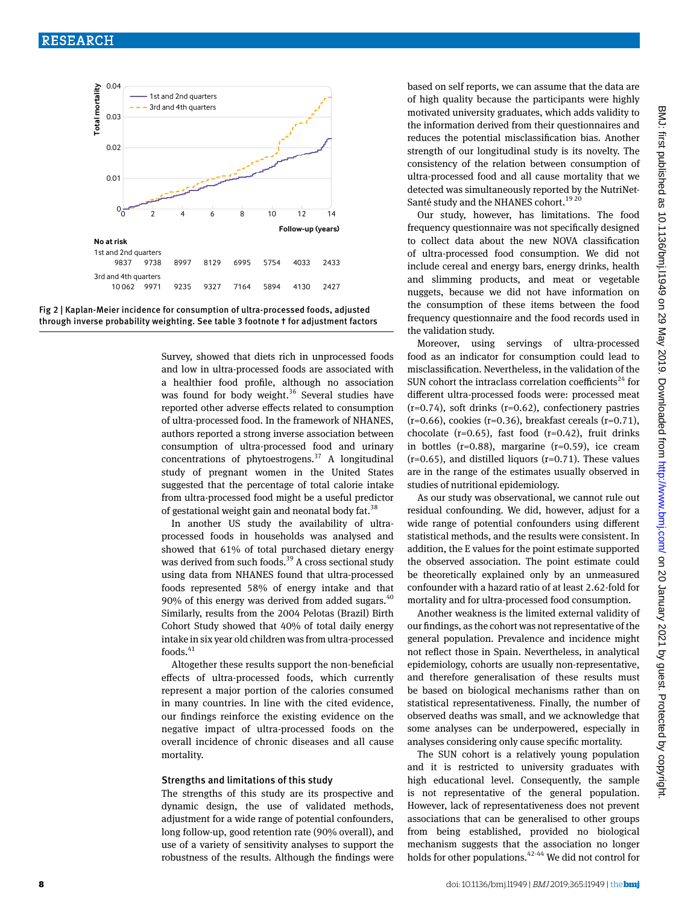



Survey, showed that diets rich in unprocessed foods and low in ultra-processed foods are associated with a healthier food profile, although no association was found for body weight.<sup>36</sup> Several studies have reported other adverse effects related to consumption of ultra-processed food. In the framework of NHANES, authors reported a strong inverse association between consumption of ultra-processed food and urinary concentrations of phytoestrogens. $37$  A longitudinal study of pregnant women in the United States suggested that the percentage of total calorie intake from ultra-processed food might be a useful predictor of gestational weight gain and neonatal body fat.<sup>38</sup>

In another US study the availability of ultraprocessed foods in households was analysed and showed that 61% of total purchased dietary energy was derived from such foods.<sup>39</sup> A cross sectional study using data from NHANES found that ultra-processed foods represented 58% of energy intake and that 90% of this energy was derived from added sugars. $40$ Similarly, results from the 2004 Pelotas (Brazil) Birth Cohort Study showed that 40% of total daily energy intake in six year old children was from ultra-processed foods.<sup>41</sup>

Altogether these results support the non-beneficial effects of ultra-processed foods, which currently represent a major portion of the calories consumed in many countries. In line with the cited evidence, our findings reinforce the existing evidence on the negative impact of ultra-processed foods on the overall incidence of chronic diseases and all cause mortality.

#### Strengths and limitations of this study

The strengths of this study are its prospective and dynamic design, the use of validated methods, adjustment for a wide range of potential confounders, long follow-up, good retention rate (90% overall), and use of a variety of sensitivity analyses to support the robustness of the results. Although the findings were based on self reports, we can assume that the data are of high quality because the participants were highly motivated university graduates, which adds validity to the information derived from their questionnaires and reduces the potential misclassification bias. Another strength of our longitudinal study is its novelty. The consistency of the relation between consumption of ultra-processed food and all cause mortality that we detected was simultaneously reported by the NutriNet-Santé study and the NHANES cohort.<sup>19 20</sup>

Our study, however, has limitations. The food frequency questionnaire was not specifically designed to collect data about the new NOVA classification of ultra-processed food consumption. We did not include cereal and energy bars, energy drinks, health and slimming products, and meat or vegetable nuggets, because we did not have information on the consumption of these items between the food frequency questionnaire and the food records used in the validation study.

Moreover, using servings of ultra-processed food as an indicator for consumption could lead to misclassification. Nevertheless, in the validation of the SUN cohort the intraclass correlation coefficients<sup>24</sup> for different ultra-processed foods were: processed meat  $(r=0.74)$ , soft drinks  $(r=0.62)$ , confectionery pastries  $(r=0.66)$ , cookies  $(r=0.36)$ , breakfast cereals  $(r=0.71)$ , chocolate ( $r=0.65$ ), fast food ( $r=0.42$ ), fruit drinks in bottles  $(r=0.88)$ , margarine  $(r=0.59)$ , ice cream  $(r=0.65)$ , and distilled liquors  $(r=0.71)$ . These values are in the range of the estimates usually observed in studies of nutritional epidemiology.

As our study was observational, we cannot rule out residual confounding. We did, however, adjust for a wide range of potential confounders using different statistical methods, and the results were consistent. In addition, the E values for the point estimate supported the observed association. The point estimate could be theoretically explained only by an unmeasured confounder with a hazard ratio of at least 2.62-fold for mortality and for ultra-processed food consumption.

Another weakness is the limited external validity of our findings, as the cohort was not representative of the general population. Prevalence and incidence might not reflect those in Spain. Nevertheless, in analytical epidemiology, cohorts are usually non-representative, and therefore generalisation of these results must be based on biological mechanisms rather than on statistical representativeness. Finally, the number of observed deaths was small, and we acknowledge that some analyses can be underpowered, especially in analyses considering only cause specific mortality.

The SUN cohort is a relatively young population and it is restricted to university graduates with high educational level. Consequently, the sample is not representative of the general population. However, lack of representativeness does not prevent associations that can be generalised to other groups from being established, provided no biological mechanism suggests that the association no longer holds for other populations.<sup>42-44</sup> We did not control for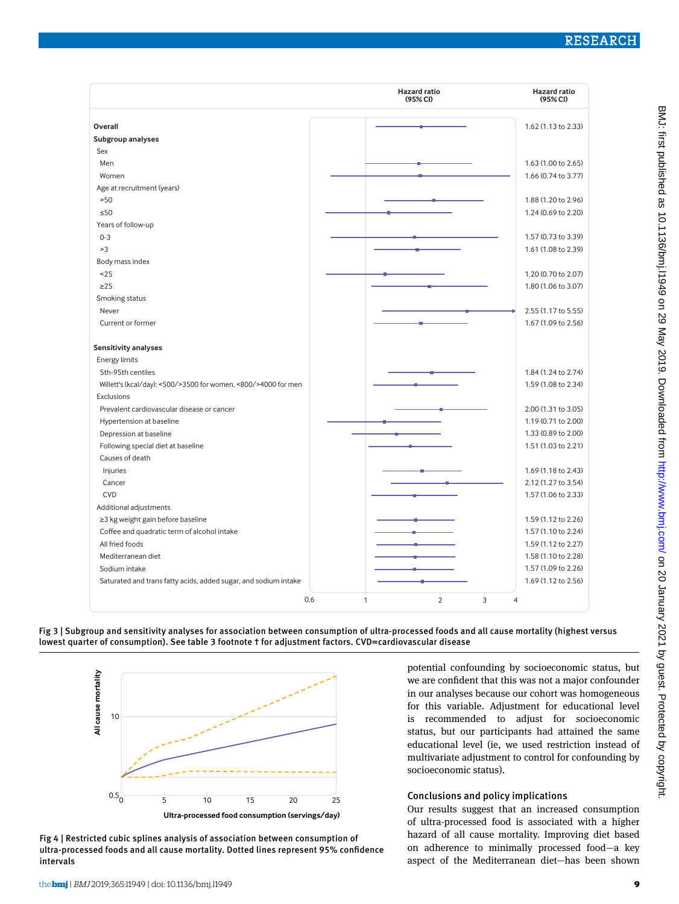|                                                                 | <b>Hazard ratio</b><br>(95% <sub>C</sub> ) | <b>Hazard ratio</b><br>(95% CI) |
|-----------------------------------------------------------------|--------------------------------------------|---------------------------------|
|                                                                 |                                            |                                 |
| Overall                                                         |                                            | 1.62 (1.13 to 2.33)             |
| Subgroup analyses                                               |                                            |                                 |
| Sex                                                             |                                            |                                 |
| Men                                                             |                                            | 1.63 (1.00 to 2.65)             |
| Women                                                           |                                            | 1.66 (0.74 to 3.77)             |
| Age at recruitment (years)                                      |                                            |                                 |
| >50                                                             |                                            | 1.88 (1.20 to 2.96)             |
| $\leq 50$                                                       |                                            | 1.24 (0.69 to 2.20)             |
| Years of follow-up                                              |                                            |                                 |
| $0 - 3$                                                         |                                            | 1.57 (0.73 to 3.39)             |
| >3                                                              |                                            | 1.61 (1.08 to 2.39)             |
| Body mass index                                                 |                                            |                                 |
| ~125                                                            |                                            | 1.20 (0.70 to 2.07)             |
| $\geq$ 25                                                       |                                            | 1.80 (1.06 to 3.07)             |
| Smoking status                                                  |                                            |                                 |
| Never                                                           |                                            | 2.55 (1.17 to 5.55)             |
| Current or former                                               |                                            | 1.67 (1.09 to 2.56)             |
| Sensitivity analyses                                            |                                            |                                 |
| Energy limits                                                   |                                            |                                 |
| 5th-95th centiles                                               |                                            | 1.84 (1.24 to 2.74)             |
| Willett's (kcal/day): <500/>3500 for women, <800/>>000 for men  |                                            | 1.59 (1.08 to 2.34)             |
| <b>Exclusions</b>                                               |                                            |                                 |
| Prevalent cardiovascular disease or cancer                      |                                            | 2.00 (1.31 to 3.05)             |
| Hypertension at baseline                                        |                                            | 1.19 (0.71 to 2.00)             |
| Depression at baseline                                          |                                            | 1.33 (0.89 to 2.00)             |
| Following special diet at baseline                              |                                            | 1.51 (1.03 to 2.21)             |
| Causes of death                                                 |                                            |                                 |
| Injuries                                                        |                                            | 1.69 (1.18 to 2.43)             |
| Cancer                                                          |                                            | 2.12 (1.27 to 3.54)             |
| <b>CVD</b>                                                      |                                            | 1.57 (1.06 to 2.33)             |
| Additional adjustments                                          |                                            |                                 |
| ≥3 kg weight gain before baseline                               |                                            | 1.59 (1.12 to 2.26)             |
| Coffee and quadratic term of alcohol intake                     |                                            | 1.57 (1.10 to 2.24)             |
| All fried foods                                                 |                                            | 1.59 (1.12 to 2.27)             |
| Mediterranean diet                                              |                                            | 1.58 (1.10 to 2.28)             |
| Sodium intake                                                   |                                            | 1.57 (1.09 to 2.26)             |
|                                                                 |                                            | 1.69 (1.12 to 2.56)             |
| Saturated and trans fatty acids, added sugar, and sodium intake |                                            |                                 |
| 0.6                                                             | $\overline{2}$<br>3<br>1                   | 4                               |





Fig 4 | Restricted cubic splines analysis of association between consumption of ultra-processed foods and all cause mortality. Dotted lines represent 95% confidence intervals

potential confounding by socioeconomic status, but we are confident that this was not a major confounder in our analyses because our cohort was homogeneous for this variable. Adjustment for educational level is recommended to adjust for socioeconomic status, but our participants had attained the same educational level (ie, we used restriction instead of multivariate adjustment to control for confounding by socioeconomic status).

# Conclusions and policy implications

Our results suggest that an increased consumption of ultra-processed food is associated with a higher hazard of all cause mortality. Improving diet based on adherence to minimally processed food—a key aspect of the Mediterranean diet—has been shown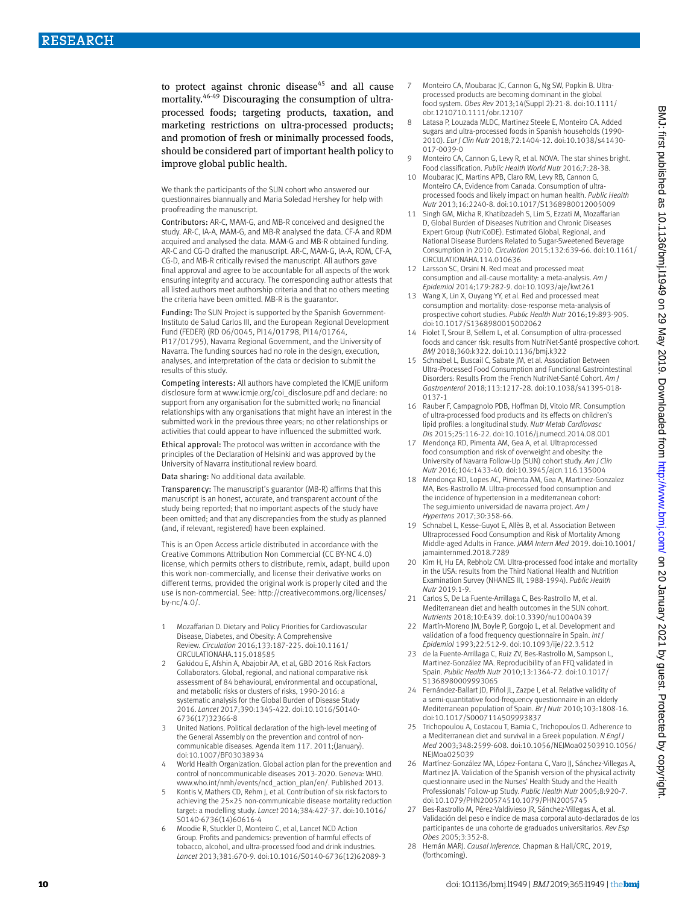to protect against chronic disease $45$  and all cause mortality.46-49 Discouraging the consumption of ultraprocessed foods; targeting products, taxation, and marketing restrictions on ultra-processed products; and promotion of fresh or minimally processed foods, should be considered part of important health policy to improve global public health.

We thank the participants of the SUN cohort who answered our questionnaires biannually and Maria Soledad Hershey for help with proofreading the manuscript.

Contributors: AR-C, MAM-G, and MB-R conceived and designed the study. AR-C, IA-A, MAM-G, and MB-R analysed the data. CF-A and RDM acquired and analysed the data. MAM-G and MB-R obtained funding. AR-C and CG-D drafted the manuscript. AR-C, MAM-G, IA-A, RDM, CF-A, CG-D, and MB-R critically revised the manuscript. All authors gave final approval and agree to be accountable for all aspects of the work ensuring integrity and accuracy. The corresponding author attests that all listed authors meet authorship criteria and that no others meeting the criteria have been omitted. MB-R is the guarantor.

Funding: The SUN Project is supported by the Spanish Government-Instituto de Salud Carlos III, and the European Regional Development Fund (FEDER) (RD 06/0045, PI14/01798, PI14/01764, PI17/01795), Navarra Regional Government, and the University of Navarra. The funding sources had no role in the design, execution,

analyses, and interpretation of the data or decision to submit the results of this study. Competing interests: All authors have completed the ICMJE uniform

disclosure form at [www.icmje.org/coi\\_disclosure.pdf](http://www.icmje.org/coi_disclosure.pdf) and declare: no support from any organisation for the submitted work; no financial relationships with any organisations that might have an interest in the submitted work in the previous three years; no other relationships or activities that could appear to have influenced the submitted work.

Ethical approval: The protocol was written in accordance with the principles of the Declaration of Helsinki and was approved by the University of Navarra institutional review board.

Data sharing: No additional data available.

Transparency: The manuscript's guarantor (MB-R) affirms that this manuscript is an honest, accurate, and transparent account of the study being reported; that no important aspects of the study have been omitted; and that any discrepancies from the study as planned (and, if relevant, registered) have been explained.

This is an Open Access article distributed in accordance with the Creative Commons Attribution Non Commercial (CC BY-NC 4.0) license, which permits others to distribute, remix, adapt, build upon this work non-commercially, and license their derivative works on different terms, provided the original work is properly cited and the use is non-commercial. See: [http://creativecommons.org/licenses/](http://creativecommons.org/licenses/by-nc/4.0/) [by-nc/4.0/](http://creativecommons.org/licenses/by-nc/4.0/).

- 1 Mozaffarian D. Dietary and Policy Priorities for Cardiovascular Disease, Diabetes, and Obesity: A Comprehensive Review. *Circulation* 2016;133:187-225. doi:10.1161/ CIRCULATIONAHA.115.018585
- 2 Gakidou E, Afshin A, Abajobir AA, et al, GBD 2016 Risk Factors Collaborators. Global, regional, and national comparative risk assessment of 84 behavioural, environmental and occupational, and metabolic risks or clusters of risks, 1990-2016: a systematic analysis for the Global Burden of Disease Study 2016. *Lancet* 2017;390:1345-422. doi:10.1016/S0140- 6736(17)32366-8
- 3 United Nations. Political declaration of the high-level meeting of the General Assembly on the prevention and control of noncommunicable diseases. Agenda item 117. 2011;(January). doi:10.1007/BF03038934
- 4 World Health Organization. Global action plan for the prevention and control of noncommunicable diseases 2013-2020. Geneva: WHO. [www.who.int/nmh/events/ncd\\_action\\_plan/en/.](http://www.who.int/nmh/events/ncd_action_plan/en/) Published 2013.
- Kontis V, Mathers CD, Rehm J, et al. Contribution of six risk factors to achieving the 25×25 non-communicable disease mortality reduction target: a modelling study. *Lancet* 2014;384:427-37. doi:10.1016/ S0140-6736(14)60616-4
- 6 Moodie R, Stuckler D, Monteiro C, et al, Lancet NCD Action Group. Profits and pandemics: prevention of harmful effects of tobacco, alcohol, and ultra-processed food and drink industries. *Lancet* 2013;381:670-9. doi:10.1016/S0140-6736(12)62089-3
- 7 Monteiro CA, Moubarac JC, Cannon G, Ng SW, Popkin B. Ultraprocessed products are becoming dominant in the global food system. *Obes Rev* 2013;14(Suppl 2):21-8. doi:10.1111/ obr.1210710.1111/obr.12107
- 8 Latasa P, Louzada MLDC, Martinez Steele E, Monteiro CA. Added sugars and ultra-processed foods in Spanish households (1990- 2010). *Eur J Clin Nutr* 2018;72:1404-12. doi:10.1038/s41430- 017-0039-0
- 9 Monteiro CA, Cannon G, Levy R, et al. NOVA. The star shines bright. Food classification. *Public Health World Nutr* 2016;7:28-38.
- 10 Moubarac JC, Martins APB, Claro RM, Levy RB, Cannon G, Monteiro CA, Evidence from Canada. Consumption of ultraprocessed foods and likely impact on human health. *Public Health Nutr* 2013;16:2240-8. doi:10.1017/S1368980012005009
- 11 Singh GM, Micha R, Khatibzadeh S, Lim S, Ezzati M, Mozaffarian D, Global Burden of Diseases Nutrition and Chronic Diseases Expert Group (NutriCoDE). Estimated Global, Regional, and National Disease Burdens Related to Sugar-Sweetened Beverage Consumption in 2010. *Circulation* 2015;132:639-66. doi:10.1161/ CIRCULATIONAHA.114.010636
- 12 Larsson SC, Orsini N. Red meat and processed meat consumption and all-cause mortality: a meta-analysis. *Am J Epidemiol* 2014;179:282-9. doi:10.1093/aje/kwt261
- 13 Wang X, Lin X, Ouyang YY, et al. Red and processed meat consumption and mortality: dose-response meta-analysis of prospective cohort studies. *Public Health Nutr* 2016;19:893-905. doi:10.1017/S1368980015002062
- 14 Fiolet T, Srour B, Sellem L, et al. Consumption of ultra-processed foods and cancer risk: results from NutriNet-Santé prospective cohort. *BMJ* 2018;360:k322. doi:10.1136/bmj.k322
- 15 Schnabel L, Buscail C, Sabate JM, et al. Association Between Ultra-Processed Food Consumption and Functional Gastrointestinal Disorders: Results From the French NutriNet-Santé Cohort. *Am J Gastroenterol* 2018;113:1217-28. doi:10.1038/s41395-018- 0137-1
- 16 Rauber F, Campagnolo PDB, Hoffman DJ, Vitolo MR. Consumption of ultra-processed food products and its effects on children's lipid profiles: a longitudinal study. *Nutr Metab Cardiovasc Dis* 2015;25:116-22. doi:10.1016/j.numecd.2014.08.001
- 17 Mendonça RD, Pimenta AM, Gea A, et al. Ultraprocessed food consumption and risk of overweight and obesity: the University of Navarra Follow-Up (SUN) cohort study. *Am J Clin Nutr* 2016;104:1433-40. doi:10.3945/ajcn.116.135004
- 18 Mendonça RD, Lopes AC, Pimenta AM, Gea A, Martinez-Gonzalez MA, Bes-Rastrollo M. Ultra-processed food consumption and the incidence of hypertension in a mediterranean cohort: The seguimiento universidad de navarra project. *Am J Hypertens* 2017;30:358-66.
- 19 Schnabel L, Kesse-Guyot E, Allès B, et al. Association Between Ultraprocessed Food Consumption and Risk of Mortality Among Middle-aged Adults in France. *JAMA Intern Med* 2019. doi:10.1001/ jamainternmed.2018.7289
- 20 Kim H, Hu EA, Rebholz CM. Ultra-processed food intake and mortality in the USA: results from the Third National Health and Nutrition Examination Survey (NHANES III, 1988-1994). *Public Health Nutr* 2019:1-9.
- 21 Carlos S, De La Fuente-Arrillaga C, Bes-Rastrollo M, et al. Mediterranean diet and health outcomes in the SUN cohort. *Nutrients* 2018;10:E439. doi:10.3390/nu10040439
- 22 Martín-Moreno JM, Boyle P, Gorgojo L, et al. Development and validation of a food frequency questionnaire in Spain. *Int J Epidemiol* 1993;22:512-9. doi:10.1093/ije/22.3.512
- 23 de la Fuente-Arrillaga C, Ruiz ZV, Bes-Rastrollo M, Sampson L, Martinez-González MA. Reproducibility of an FFQ validated in Spain. *Public Health Nutr* 2010;13:1364-72. doi:10.1017/ S1368980009993065
- 24 Fernández-Ballart JD, Piñol JL, Zazpe I, et al. Relative validity of a semi-quantitative food-frequency questionnaire in an elderly Mediterranean population of Spain. *Br J Nutr* 2010;103:1808-16. doi:10.1017/S0007114509993837
- 25 Trichopoulou A, Costacou T, Bamia C, Trichopoulos D. Adherence to a Mediterranean diet and survival in a Greek population. *N Engl J Med* 2003;348:2599-608. doi:10.1056/NEJMoa02503910.1056/ NEIMoa025039
- 26 Martínez-González MA, López-Fontana C, Varo JJ, Sánchez-Villegas A, Martinez JA. Validation of the Spanish version of the physical activity questionnaire used in the Nurses' Health Study and the Health Professionals' Follow-up Study. *Public Health Nutr* 2005;8:920-7. doi:10.1079/PHN200574510.1079/PHN2005745
- 27 Bes-Rastrollo M, Pérez-Valdivieso JR, Sánchez-Villegas A, et al. Validación del peso e índice de masa corporal auto-declarados de los participantes de una cohorte de graduados universitarios. *Rev Esp Obes* 2005;3:352-8.
- 28 Hernán MARJ. *Causal Inference.* Chapman & Hall/CRC, 2019, (forthcoming).